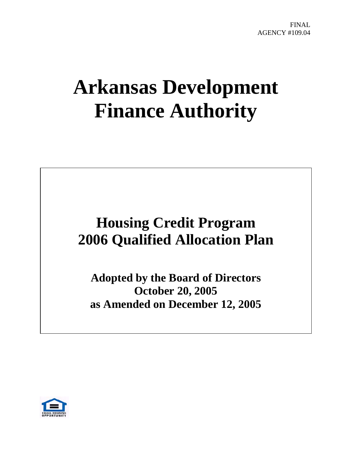# **Arkansas Development Finance Authority**

# **Housing Credit Program 2006 Qualified Allocation Plan**

**Adopted by the Board of Directors October 20, 2005 as Amended on December 12, 2005** 

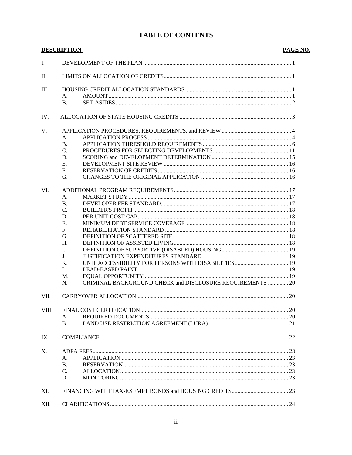# **TABLE OF CONTENTS**

|             | <b>DESCRIPTION</b>                                                    | PAGE NO. |
|-------------|-----------------------------------------------------------------------|----------|
| Ι.          |                                                                       |          |
| Π.          |                                                                       |          |
| Ш.          |                                                                       |          |
|             | A.                                                                    |          |
|             | <b>B.</b>                                                             |          |
| IV.         |                                                                       |          |
| V.          |                                                                       |          |
|             | A.                                                                    |          |
|             | <b>B.</b>                                                             |          |
|             | C.                                                                    |          |
|             | D.                                                                    |          |
|             | E.                                                                    |          |
|             | F.                                                                    |          |
|             | G.                                                                    |          |
| VI.         |                                                                       |          |
|             | A.                                                                    |          |
|             | <b>B.</b>                                                             |          |
|             | C.                                                                    |          |
|             | D.                                                                    |          |
|             | Е.                                                                    |          |
|             | F.                                                                    |          |
|             | G                                                                     |          |
|             | H.                                                                    |          |
|             | L.                                                                    |          |
|             | J.                                                                    |          |
|             | Κ.                                                                    |          |
|             | L.                                                                    |          |
|             | M.<br>CRIMINAL BACKGROUND CHECK and DISCLOSURE REQUIREMENTS  20<br>N. |          |
| VII.        |                                                                       |          |
|             |                                                                       |          |
| VIII.       |                                                                       |          |
|             | А.                                                                    |          |
|             | <b>B.</b>                                                             |          |
| IX.         |                                                                       |          |
| $X_{\cdot}$ |                                                                       |          |
|             | А.                                                                    |          |
|             | B.                                                                    |          |
|             | $\mathcal{C}$ .                                                       |          |
|             | D.                                                                    |          |
| XI.         |                                                                       |          |
| XII.        |                                                                       |          |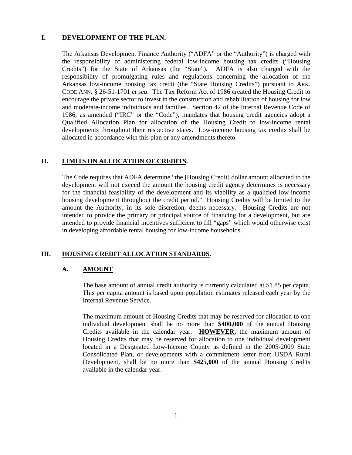# **I. DEVELOPMENT OF THE PLAN.**

The Arkansas Development Finance Authority ("ADFA" or the "Authority") is charged with the responsibility of administering federal low-income housing tax credits ("Housing Credits") for the State of Arkansas (the "State"). ADFA is also charged with the responsibility of promulgating rules and regulations concerning the allocation of the Arkansas low-income housing tax credit (the "State Housing Credits") pursuant to ARK. CODE ANN. § 26-51-1701 *et seq*. The Tax Reform Act of 1986 created the Housing Credit to encourage the private sector to invest in the construction and rehabilitation of housing for low and moderate-income individuals and families. Section 42 of the Internal Revenue Code of 1986, as amended ("IRC" or the "Code"), mandates that housing credit agencies adopt a Qualified Allocation Plan for allocation of the Housing Credit to low-income rental developments throughout their respective states. Low-income housing tax credits shall be allocated in accordance with this plan or any amendments thereto.

#### **II. LIMITS ON ALLOCATION OF CREDITS.**

The Code requires that ADFA determine "the [Housing Credit] dollar amount allocated to the development will not exceed the amount the housing credit agency determines is necessary for the financial feasibility of the development and its viability as a qualified low-income housing development throughout the credit period." Housing Credits will be limited to the amount the Authority, in its sole discretion, deems necessary. Housing Credits are not intended to provide the primary or principal source of financing for a development, but are intended to provide financial incentives sufficient to fill "gaps" which would otherwise exist in developing affordable rental housing for low-income households.

#### **III. HOUSING CREDIT ALLOCATION STANDARDS.**

#### **A. AMOUNT**

The base amount of annual credit authority is currently calculated at \$1.85 per capita. This per capita amount is based upon population estimates released each year by the Internal Revenue Service.

The maximum amount of Housing Credits that may be reserved for allocation to one individual development shall be no more than **\$400,000** of the annual Housing Credits available in the calendar year. **HOWEVER,** the maximum amount of Housing Credits that may be reserved for allocation to one individual development located in a Designated Low-Income County as defined in the 2005-2009 State Consolidated Plan, or developments with a commitment letter from USDA Rural Development, shall be no more than **\$425,000** of the annual Housing Credits available in the calendar year.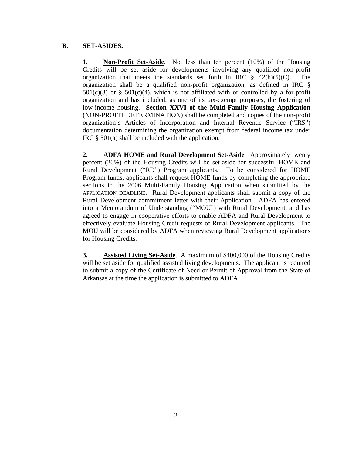# **B. SET-ASIDES.**

**1. Non-Profit Set-Aside**. Not less than ten percent (10%) of the Housing Credits will be set aside for developments involving any qualified non-profit organization that meets the standards set forth in IRC  $\frac{8}{3}$  42(h)(5)(C). The organization shall be a qualified non-profit organization, as defined in IRC §  $501(c)(3)$  or §  $501(c)(4)$ , which is not affiliated with or controlled by a for-profit organization and has included, as one of its tax-exempt purposes, the fostering of low-income housing. **Section XXVI of the Multi-Family Housing Application** (NON-PROFIT DETERMINATION) shall be completed and copies of the non-profit organization's Articles of Incorporation and Internal Revenue Service ("IRS") documentation determining the organization exempt from federal income tax under IRC § 501(a) shall be included with the application.

**2. ADFA HOME and Rural Development Set-Aside**. Approximately twenty percent (20%) of the Housing Credits will be set-aside for successful HOME and Rural Development ("RD") Program applicants. To be considered for HOME Program funds, applicants shall request HOME funds by completing the appropriate sections in the 2006 Multi-Family Housing Application when submitted by the APPLICATION DEADLINE. Rural Development applicants shall submit a copy of the Rural Development commitment letter with their Application. ADFA has entered into a Memorandum of Understanding ("MOU") with Rural Development, and has agreed to engage in cooperative efforts to enable ADFA and Rural Development to effectively evaluate Housing Credit requests of Rural Development applicants. The MOU will be considered by ADFA when reviewing Rural Development applications for Housing Credits.

**3. Assisted Living Set-Aside**. A maximum of \$400,000 of the Housing Credits will be set aside for qualified assisted living developments. The applicant is required to submit a copy of the Certificate of Need or Permit of Approval from the State of Arkansas at the time the application is submitted to ADFA.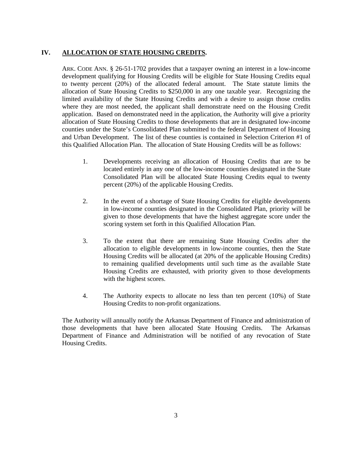# **IV. ALLOCATION OF STATE HOUSING CREDITS.**

ARK. CODE ANN. § 26-51-1702 provides that a taxpayer owning an interest in a low-income development qualifying for Housing Credits will be eligible for State Housing Credits equal to twenty percent (20%) of the allocated federal amount. The State statute limits the allocation of State Housing Credits to \$250,000 in any one taxable year. Recognizing the limited availability of the State Housing Credits and with a desire to assign those credits where they are most needed, the applicant shall demonstrate need on the Housing Credit application. Based on demonstrated need in the application, the Authority will give a priority allocation of State Housing Credits to those developments that are in designated low-income counties under the State's Consolidated Plan submitted to the federal Department of Housing and Urban Development. The list of these counties is contained in Selection Criterion #1 of this Qualified Allocation Plan. The allocation of State Housing Credits will be as follows:

- 1. Developments receiving an allocation of Housing Credits that are to be located entirely in any one of the low-income counties designated in the State Consolidated Plan will be allocated State Housing Credits equal to twenty percent (20%) of the applicable Housing Credits.
- 2. In the event of a shortage of State Housing Credits for eligible developments in low-income counties designated in the Consolidated Plan, priority will be given to those developments that have the highest aggregate score under the scoring system set forth in this Qualified Allocation Plan.
- 3. To the extent that there are remaining State Housing Credits after the allocation to eligible developments in low-income counties, then the State Housing Credits will be allocated (at 20% of the applicable Housing Credits) to remaining qualified developments until such time as the available State Housing Credits are exhausted, with priority given to those developments with the highest scores.
- 4. The Authority expects to allocate no less than ten percent (10%) of State Housing Credits to non-profit organizations.

The Authority will annually notify the Arkansas Department of Finance and administration of those developments that have been allocated State Housing Credits. The Arkansas Department of Finance and Administration will be notified of any revocation of State Housing Credits.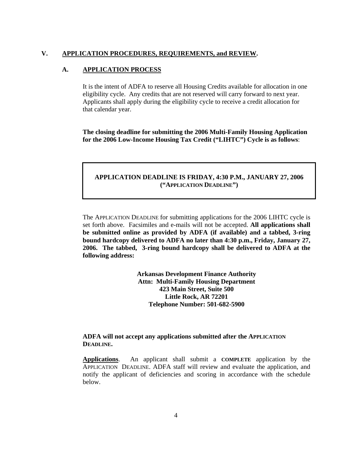#### **V. APPLICATION PROCEDURES, REQUIREMENTS, and REVIEW.**

#### **A. APPLICATION PROCESS**

It is the intent of ADFA to reserve all Housing Credits available for allocation in one eligibility cycle. Any credits that are not reserved will carry forward to next year. Applicants shall apply during the eligibility cycle to receive a credit allocation for that calendar year.

**The closing deadline for submitting the 2006 Multi-Family Housing Application for the 2006 Low-Income Housing Tax Credit ("LIHTC") Cycle is as follows**:

#### **APPLICATION DEADLINE IS FRIDAY, 4:30 P.M., JANUARY 27, 2006 ("APPLICATION DEADLINE")**

The APPLICATION DEADLINE for submitting applications for the 2006 LIHTC cycle is set forth above. Facsimiles and e-mails will not be accepted. **All applications shall be submitted online as provided by ADFA (if available) and a tabbed, 3-ring bound hardcopy delivered to ADFA no later than 4:30 p.m., Friday, January 27, 2006. The tabbed, 3-ring bound hardcopy shall be delivered to ADFA at the following address:**

> **Arkansas Development Finance Authority Attn: Multi-Family Housing Department 423 Main Street, Suite 500 Little Rock, AR 72201 Telephone Number: 501-682-5900**

#### **ADFA will not accept any applications submitted after the APPLICATION DEADLINE.**

**Applications**. An applicant shall submit a **COMPLETE** application by the APPLICATION DEADLINE. ADFA staff will review and evaluate the application, and notify the applicant of deficiencies and scoring in accordance with the schedule below.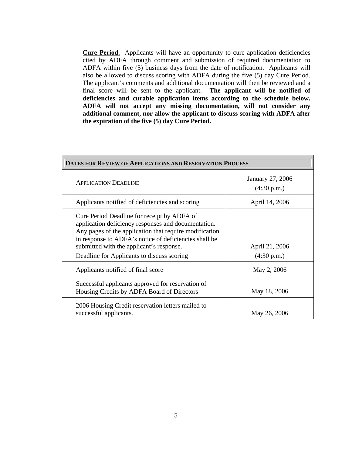**Cure Period**. Applicants will have an opportunity to cure application deficiencies cited by ADFA through comment and submission of required documentation to ADFA within five (5) business days from the date of notification. Applicants will also be allowed to discuss scoring with ADFA during the five (5) day Cure Period. The applicant's comments and additional documentation will then be reviewed and a final score will be sent to the applicant. **The applicant will be notified of deficiencies and curable application items according to the schedule below. ADFA will not accept any missing documentation, will not consider any additional comment, nor allow the applicant to discuss scoring with ADFA after the expiration of the five (5) day Cure Period.** 

| DATES FOR REVIEW OF APPLICATIONS AND RESERVATION PROCESS                                                                                                                                                                                                                                                        |                                 |  |
|-----------------------------------------------------------------------------------------------------------------------------------------------------------------------------------------------------------------------------------------------------------------------------------------------------------------|---------------------------------|--|
| <b>APPLICATION DEADLINE</b>                                                                                                                                                                                                                                                                                     | January 27, 2006<br>(4:30 p.m.) |  |
| Applicants notified of deficiencies and scoring                                                                                                                                                                                                                                                                 | April 14, 2006                  |  |
| Cure Period Deadline for receipt by ADFA of<br>application deficiency responses and documentation.<br>Any pages of the application that require modification<br>in response to ADFA's notice of deficiencies shall be<br>submitted with the applicant's response.<br>Deadline for Applicants to discuss scoring | April 21, 2006<br>(4:30 p.m.)   |  |
| Applicants notified of final score                                                                                                                                                                                                                                                                              | May 2, 2006                     |  |
| Successful applicants approved for reservation of<br>Housing Credits by ADFA Board of Directors                                                                                                                                                                                                                 | May 18, 2006                    |  |
| 2006 Housing Credit reservation letters mailed to<br>successful applicants.                                                                                                                                                                                                                                     | May 26, 2006                    |  |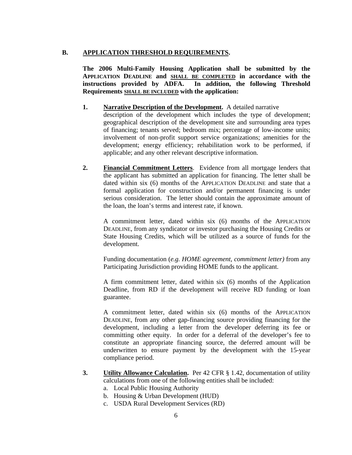#### **B. APPLICATION THRESHOLD REQUIREMENTS.**

**The 2006 Multi-Family Housing Application shall be submitted by the APPLICATION DEADLINE and SHALL BE COMPLETED in accordance with the instructions provided by ADFA. In addition, the following Threshold Requirements SHALL BE INCLUDED with the application:** 

- **1. Narrative Description of the Development.** A detailed narrative description of the development which includes the type of development; geographical description of the development site and surrounding area types of financing; tenants served; bedroom mix; percentage of low-income units; involvement of non-profit support service organizations; amenities for the development; energy efficiency; rehabilitation work to be performed, if applicable; and any other relevant descriptive information.
- **2. Financial Commitment Letters**. Evidence from all mortgage lenders that the applicant has submitted an application for financing. The letter shall be dated within six (6) months of the APPLICATION DEADLINE and state that a formal application for construction and/or permanent financing is under serious consideration. The letter should contain the approximate amount of the loan, the loan's terms and interest rate, if known.

A commitment letter, dated within six (6) months of the APPLICATION DEADLINE, from any syndicator or investor purchasing the Housing Credits or State Housing Credits, which will be utilized as a source of funds for the development.

Funding documentation (*e.g. HOME agreement, commitment letter)* from any Participating Jurisdiction providing HOME funds to the applicant.

A firm commitment letter, dated within six (6) months of the Application Deadline, from RD if the development will receive RD funding or loan guarantee.

A commitment letter, dated within six (6) months of the APPLICATION DEADLINE, from any other gap-financing source providing financing for the development, including a letter from the developer deferring its fee or committing other equity. In order for a deferral of the developer's fee to constitute an appropriate financing source, the deferred amount will be underwritten to ensure payment by the development with the 15-year compliance period.

- **3. Utility Allowance Calculation.** Per 42 CFR § 1.42, documentation of utility calculations from one of the following entities shall be included:
	- a. Local Public Housing Authority
	- b. Housing & Urban Development (HUD)
	- c. USDA Rural Development Services (RD)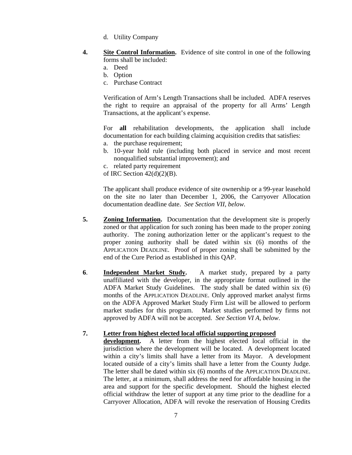- d. Utility Company
- **4. Site Control Information.** Evidence of site control in one of the following forms shall be included:
	- a. Deed
	- b. Option
	- c. Purchase Contract

Verification of Arm's Length Transactions shall be included. ADFA reserves the right to require an appraisal of the property for all Arms' Length Transactions, at the applicant's expense.

For **all** rehabilitation developments, the application shall include documentation for each building claiming acquisition credits that satisfies:

- a. the purchase requirement;
- b. 10-year hold rule (including both placed in service and most recent nonqualified substantial improvement); and
- c. related party requirement

of IRC Section  $42(d)(2)(B)$ .

The applicant shall produce evidence of site ownership or a 99-year leasehold on the site no later than December 1, 2006, the Carryover Allocation documentation deadline date. *See Section VII, below.* 

- **5. Zoning Information.** Documentation that the development site is properly zoned or that application for such zoning has been made to the proper zoning authority. The zoning authorization letter or the applicant's request to the proper zoning authority shall be dated within six (6) months of the APPLICATION DEADLINE. Proof of proper zoning shall be submitted by the end of the Cure Period as established in this QAP.
- **6**. **Independent Market Study.** A market study, prepared by a party unaffiliated with the developer, in the appropriate format outlined in the ADFA Market Study Guidelines. The study shall be dated within six (6) months of the APPLICATION DEADLINE. Only approved market analyst firms on the ADFA Approved Market Study Firm List will be allowed to perform market studies for this program. Market studies performed by firms not approved by ADFA will not be accepted. *See Section VI A, below*.

#### **7. Letter from highest elected local official supporting proposed**

**development.** A letter from the highest elected local official in the jurisdiction where the development will be located. A development located within a city's limits shall have a letter from its Mayor. A development located outside of a city's limits shall have a letter from the County Judge. The letter shall be dated within six (6) months of the APPLICATION DEADLINE. The letter, at a minimum, shall address the need for affordable housing in the area and support for the specific development. Should the highest elected official withdraw the letter of support at any time prior to the deadline for a Carryover Allocation, ADFA will revoke the reservation of Housing Credits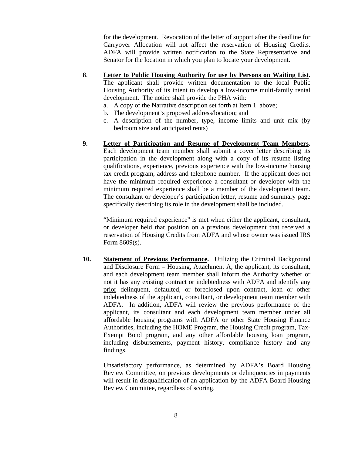for the development. Revocation of the letter of support after the deadline for Carryover Allocation will not affect the reservation of Housing Credits. ADFA will provide written notification to the State Representative and Senator for the location in which you plan to locate your development.

- **8**. **Letter to Public Housing Authority for use by Persons on Waiting List.**  The applicant shall provide written documentation to the local Public Housing Authority of its intent to develop a low-income multi-family rental development. The notice shall provide the PHA with:
	- a. A copy of the Narrative description set forth at Item 1. above;
	- b. The development's proposed address/location; and
	- c. A description of the number, type, income limits and unit mix (by bedroom size and anticipated rents)
- **9. Letter of Participation and Resume of Development Team Members.**  Each development team member shall submit a cover letter describing its participation in the development along with a copy of its resume listing qualifications, experience, previous experience with the low-income housing tax credit program, address and telephone number. If the applicant does not have the minimum required experience a consultant or developer with the minimum required experience shall be a member of the development team. The consultant or developer's participation letter, resume and summary page specifically describing its role in the development shall be included.

"Minimum required experience" is met when either the applicant, consultant, or developer held that position on a previous development that received a reservation of Housing Credits from ADFA and whose owner was issued IRS Form 8609(s).

**10. Statement of Previous Performance.** Utilizing the Criminal Background and Disclosure Form – Housing, Attachment A, the applicant, its consultant, and each development team member shall inform the Authority whether or not it has any existing contract or indebtedness with ADFA and identify any prior delinquent, defaulted, or foreclosed upon contract, loan or other indebtedness of the applicant, consultant, or development team member with ADFA. In addition, ADFA will review the previous performance of the applicant, its consultant and each development team member under all affordable housing programs with ADFA or other State Housing Finance Authorities, including the HOME Program, the Housing Credit program, Tax-Exempt Bond program, and any other affordable housing loan program, including disbursements, payment history, compliance history and any findings.

Unsatisfactory performance, as determined by ADFA's Board Housing Review Committee, on previous developments or delinquencies in payments will result in disqualification of an application by the ADFA Board Housing Review Committee, regardless of scoring.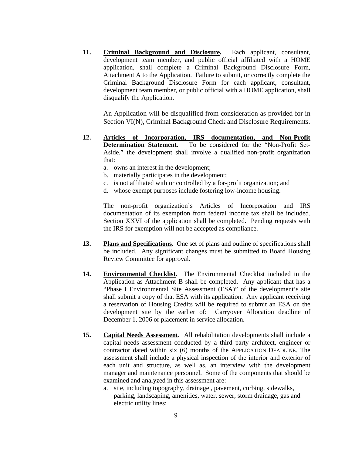**11. Criminal Background and Disclosure.** Each applicant, consultant, development team member, and public official affiliated with a HOME application, shall complete a Criminal Background Disclosure Form, Attachment A to the Application. Failure to submit, or correctly complete the Criminal Background Disclosure Form for each applicant, consultant, development team member, or public official with a HOME application, shall disqualify the Application.

An Application will be disqualified from consideration as provided for in Section VI(N), Criminal Background Check and Disclosure Requirements.

- **12. Articles of Incorporation, IRS documentation, and Non-Profit Determination Statement.** To be considered for the "Non-Profit Set-Aside," the development shall involve a qualified non-profit organization that:
	- a. owns an interest in the development;
	- b. materially participates in the development;
	- c. is not affiliated with or controlled by a for-profit organization; and
	- d. whose exempt purposes include fostering low-income housing.

The non-profit organization's Articles of Incorporation and IRS documentation of its exemption from federal income tax shall be included. Section XXVI of the application shall be completed. Pending requests with the IRS for exemption will not be accepted as compliance.

- **13. Plans and Specifications.** One set of plans and outline of specifications shall be included. Any significant changes must be submitted to Board Housing Review Committee for approval.
- **14. Environmental Checklist.** The Environmental Checklist included in the Application as Attachment B shall be completed. Any applicant that has a "Phase I Environmental Site Assessment (ESA)" of the development's site shall submit a copy of that ESA with its application. Any applicant receiving a reservation of Housing Credits will be required to submit an ESA on the development site by the earlier of: Carryover Allocation deadline of December 1, 2006 or placement in service allocation.
- **15. Capital Needs Assessment.** All rehabilitation developments shall include a capital needs assessment conducted by a third party architect, engineer or contractor dated within six (6) months of the APPLICATION DEADLINE. The assessment shall include a physical inspection of the interior and exterior of each unit and structure, as well as, an interview with the development manager and maintenance personnel. Some of the components that should be examined and analyzed in this assessment are:
	- a. site, including topography, drainage , pavement, curbing, sidewalks, parking, landscaping, amenities, water, sewer, storm drainage, gas and electric utility lines;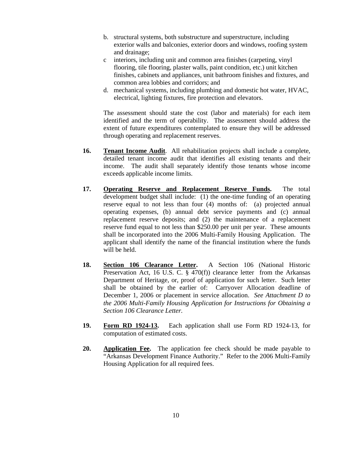- b. structural systems, both substructure and superstructure, including exterior walls and balconies, exterior doors and windows, roofing system and drainage;
- c interiors, including unit and common area finishes (carpeting, vinyl flooring, tile flooring, plaster walls, paint condition, etc.) unit kitchen finishes, cabinets and appliances, unit bathroom finishes and fixtures, and common area lobbies and corridors; and
- d. mechanical systems, including plumbing and domestic hot water, HVAC, electrical, lighting fixtures, fire protection and elevators.

The assessment should state the cost (labor and materials) for each item identified and the term of operability. The assessment should address the extent of future expenditures contemplated to ensure they will be addressed through operating and replacement reserves.

- **16. Tenant Income Audit**. All rehabilitation projects shall include a complete, detailed tenant income audit that identifies all existing tenants and their income. The audit shall separately identify those tenants whose income exceeds applicable income limits.
- **17. Operating Reserve and Replacement Reserve Funds.** The total development budget shall include: (1) the one-time funding of an operating reserve equal to not less than four (4) months of: (a) projected annual operating expenses, (b) annual debt service payments and (c) annual replacement reserve deposits; and (2) the maintenance of a replacement reserve fund equal to not less than \$250.00 per unit per year. These amounts shall be incorporated into the 2006 Multi-Family Housing Application. The applicant shall identify the name of the financial institution where the funds will be held.
- **18. Section 106 Clearance Letter.** A Section 106 (National Historic Preservation Act, 16 U.S. C. § 470(f)) clearance letter from the Arkansas Department of Heritage, or, proof of application for such letter. Such letter shall be obtained by the earlier of: Carryover Allocation deadline of December 1, 2006 or placement in service allocation. *See Attachment D to the 2006 Multi-Family Housing Application for Instructions for Obtaining a Section 106 Clearance Letter.*
- **19. Form RD 1924-13.** Each application shall use Form RD 1924-13, for computation of estimated costs.
- **20. Application Fee.** The application fee check should be made payable to "Arkansas Development Finance Authority." Refer to the 2006 Multi-Family Housing Application for all required fees.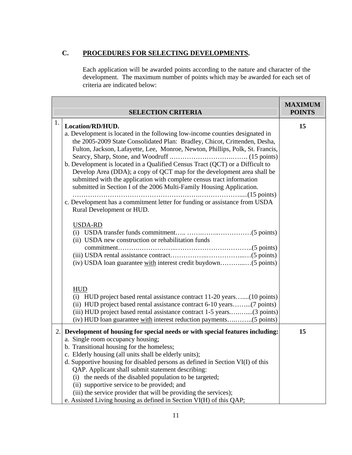# **C. PROCEDURES FOR SELECTING DEVELOPMENTS.**

Each application will be awarded points according to the nature and character of the development. The maximum number of points which may be awarded for each set of criteria are indicated below:

| <b>SELECTION CRITERIA</b> |                                                                                                                                                                                                                                                                                                                                                                                                                                                                                                                                                                                                                                                                                                                                                          | <b>MAXIMUM</b><br><b>POINTS</b> |
|---------------------------|----------------------------------------------------------------------------------------------------------------------------------------------------------------------------------------------------------------------------------------------------------------------------------------------------------------------------------------------------------------------------------------------------------------------------------------------------------------------------------------------------------------------------------------------------------------------------------------------------------------------------------------------------------------------------------------------------------------------------------------------------------|---------------------------------|
| 1.                        | Location/RD/HUD.<br>a. Development is located in the following low-income counties designated in<br>the 2005-2009 State Consolidated Plan: Bradley, Chicot, Crittenden, Desha,<br>Fulton, Jackson, Lafayette, Lee, Monroe, Newton, Phillips, Polk, St. Francis,<br>b. Development is located in a Qualified Census Tract (QCT) or a Difficult to<br>Develop Area (DDA); a copy of QCT map for the development area shall be<br>submitted with the application with complete census tract information<br>submitted in Section I of the 2006 Multi-Family Housing Application.<br>c. Development has a commitment letter for funding or assistance from USDA<br>Rural Development or HUD.<br>USDA-RD<br>(ii) USDA new construction or rehabilitation funds | 15                              |
|                           | <b>HUD</b><br>(i) HUD project based rental assistance contract 11-20 years(10 points)<br>(ii) HUD project based rental assistance contract 6-10 years(7 points)<br>(iii) HUD project based rental assistance contract 1-5 years(3 points)                                                                                                                                                                                                                                                                                                                                                                                                                                                                                                                |                                 |
|                           | 2. Development of housing for special needs or with special features including:<br>a. Single room occupancy housing;<br>b. Transitional housing for the homeless;<br>c. Elderly housing (all units shall be elderly units);<br>d. Supportive housing for disabled persons as defined in Section VI(I) of this<br>QAP. Applicant shall submit statement describing:<br>the needs of the disabled population to be targeted;<br>(i)<br>(ii) supportive service to be provided; and<br>(iii) the service provider that will be providing the services);<br>e. Assisted Living housing as defined in Section VI(H) of this QAP;                                                                                                                              | 15                              |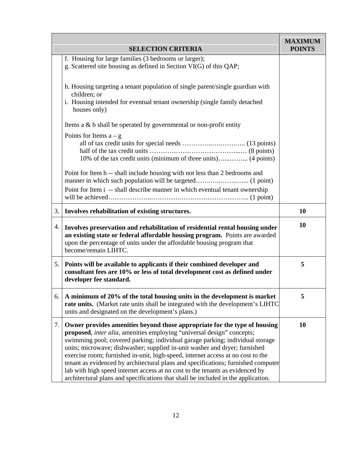|    | <b>SELECTION CRITERIA</b>                                                                                                                                                                                                                                                                                                                                                                                                                                                                                                                                                                                                                                        | <b>MAXIMUM</b><br><b>POINTS</b> |
|----|------------------------------------------------------------------------------------------------------------------------------------------------------------------------------------------------------------------------------------------------------------------------------------------------------------------------------------------------------------------------------------------------------------------------------------------------------------------------------------------------------------------------------------------------------------------------------------------------------------------------------------------------------------------|---------------------------------|
|    | f. Housing for large families (3 bedrooms or larger);<br>g. Scattered site housing as defined in Section VI(G) of this QAP;                                                                                                                                                                                                                                                                                                                                                                                                                                                                                                                                      |                                 |
|    | h. Housing targeting a tenant population of single parent/single guardian with<br>children; or<br>i. Housing intended for eventual tenant ownership (single family detached<br>houses only)                                                                                                                                                                                                                                                                                                                                                                                                                                                                      |                                 |
|    | Items a $\&$ b shall be operated by governmental or non-profit entity                                                                                                                                                                                                                                                                                                                                                                                                                                                                                                                                                                                            |                                 |
|    | Points for Items $a - g$<br>10% of the tax credit units (minimum of three units) (4 points)                                                                                                                                                                                                                                                                                                                                                                                                                                                                                                                                                                      |                                 |
|    | Point for Item h -- shall include housing with not less than 2 bedrooms and<br>Point for Item i -- shall describe manner in which eventual tenant ownership                                                                                                                                                                                                                                                                                                                                                                                                                                                                                                      |                                 |
| 3. | Involves rehabilitation of existing structures.                                                                                                                                                                                                                                                                                                                                                                                                                                                                                                                                                                                                                  | 10                              |
| 4. | Involves preservation and rehabilitation of residential rental housing under<br>an existing state or federal affordable housing program. Points are awarded<br>upon the percentage of units under the affordable housing program that<br>become/remain LIHTC.                                                                                                                                                                                                                                                                                                                                                                                                    | 10                              |
| 5. | Points will be available to applicants if their combined developer and<br>consultant fees are 10% or less of total development cost as defined under<br>developer fee standard.                                                                                                                                                                                                                                                                                                                                                                                                                                                                                  | 5                               |
| 6. | A minimum of 20% of the total housing units in the development is market<br>rate units. (Market rate units shall be integrated with the development's LIHTC<br>units and designated on the development's plans.)                                                                                                                                                                                                                                                                                                                                                                                                                                                 | 5                               |
| 7. | Owner provides amenities beyond those appropriate for the type of housing<br>proposed, inter alia, amenities employing "universal design" concepts;<br>swimming pool; covered parking; individual garage parking; individual storage<br>units; microwave; dishwasher; supplied in-unit washer and dryer; furnished<br>exercise room; furnished in-unit, high-speed, internet access at no cost to the<br>tenant as evidenced by architectural plans and specifications; furnished computer<br>lab with high speed internet access at no cost to the tenants as evidenced by<br>architectural plans and specifications that shall be included in the application. | 10                              |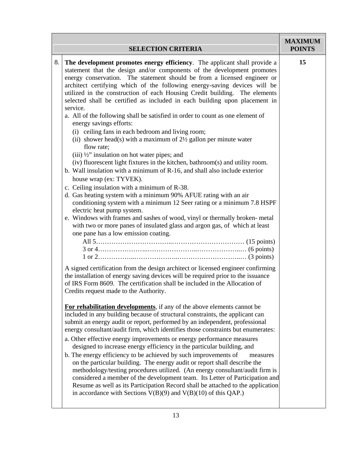| <b>SELECTION CRITERIA</b>                                                                                                                                                                                                                                                                                                                                                                                                                                                                                                                                                                                                                                                                                                                                                                                                                                                                                                                                                                                                                                                                                                                                                                                                                                                                                                                                                                                                                                                                                                                                                                                                                                                                                                                                                                                                                                                                                                                                                                                                                                         | <b>MAXIMUM</b><br><b>POINTS</b>                                                                                                                                       |
|-------------------------------------------------------------------------------------------------------------------------------------------------------------------------------------------------------------------------------------------------------------------------------------------------------------------------------------------------------------------------------------------------------------------------------------------------------------------------------------------------------------------------------------------------------------------------------------------------------------------------------------------------------------------------------------------------------------------------------------------------------------------------------------------------------------------------------------------------------------------------------------------------------------------------------------------------------------------------------------------------------------------------------------------------------------------------------------------------------------------------------------------------------------------------------------------------------------------------------------------------------------------------------------------------------------------------------------------------------------------------------------------------------------------------------------------------------------------------------------------------------------------------------------------------------------------------------------------------------------------------------------------------------------------------------------------------------------------------------------------------------------------------------------------------------------------------------------------------------------------------------------------------------------------------------------------------------------------------------------------------------------------------------------------------------------------|-----------------------------------------------------------------------------------------------------------------------------------------------------------------------|
| The development promotes energy efficiency. The applicant shall provide a<br>statement that the design and/or components of the development promotes<br>energy conservation. The statement should be from a licensed engineer or<br>architect certifying which of the following energy-saving devices will be<br>utilized in the construction of each Housing Credit building. The elements<br>selected shall be certified as included in each building upon placement in<br>service.<br>a. All of the following shall be satisfied in order to count as one element of<br>energy savings efforts:<br>(i) ceiling fans in each bedroom and living room;<br>(ii) shower head(s) with a maximum of $2\frac{1}{2}$ gallon per minute water<br>flow rate;<br>(iii) 1/2" insulation on hot water pipes; and<br>(iv) fluorescent light fixtures in the kitchen, bathroom(s) and utility room.<br>b. Wall insulation with a minimum of R-16, and shall also include exterior<br>house wrap (ex: TYVEK).<br>c. Ceiling insulation with a minimum of R-38.<br>d. Gas heating system with a minimum 90% AFUE rating with an air<br>conditioning system with a minimum 12 Seer rating or a minimum 7.8 HSPF<br>electric heat pump system.<br>e. Windows with frames and sashes of wood, vinyl or thermally broken-metal<br>with two or more panes of insulated glass and argon gas, of which at least<br>one pane has a low emission coating.<br>A signed certification from the design architect or licensed engineer confirming<br>the installation of energy saving devices will be required prior to the issuance<br>of IRS Form 8609. The certification shall be included in the Allocation of<br>Credits request made to the Authority.<br>For rehabilitation developments, if any of the above elements cannot be<br>included in any building because of structural constraints, the applicant can<br>submit an energy audit or report, performed by an independent, professional<br>energy consultant/audit firm, which identifies those constraints but enumerates: | 15                                                                                                                                                                    |
| a. Other effective energy improvements or energy performance measures<br>designed to increase energy efficiency in the particular building, and<br>b. The energy efficiency to be achieved by such improvements of<br>measures<br>on the particular building. The energy audit or report shall describe the<br>methodology/testing procedures utilized. (An energy consultant/audit firm is<br>in accordance with Sections $V(B)(9)$ and $V(B)(10)$ of this QAP.)                                                                                                                                                                                                                                                                                                                                                                                                                                                                                                                                                                                                                                                                                                                                                                                                                                                                                                                                                                                                                                                                                                                                                                                                                                                                                                                                                                                                                                                                                                                                                                                                 |                                                                                                                                                                       |
|                                                                                                                                                                                                                                                                                                                                                                                                                                                                                                                                                                                                                                                                                                                                                                                                                                                                                                                                                                                                                                                                                                                                                                                                                                                                                                                                                                                                                                                                                                                                                                                                                                                                                                                                                                                                                                                                                                                                                                                                                                                                   | 8.<br>considered a member of the development team. Its Letter of Participation and<br>Resume as well as its Participation Record shall be attached to the application |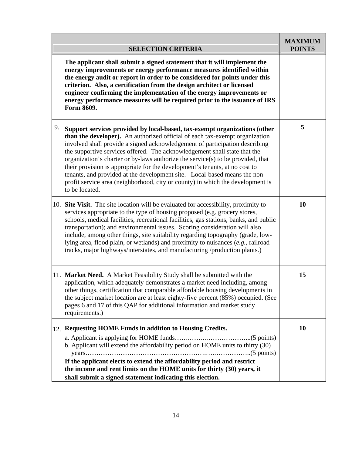| <b>SELECTION CRITERIA</b> |                                                                                                                                                                                                                                                                                                                                                                                                                                                                                                                                                                                                                                                                         | <b>MAXIMUM</b><br><b>POINTS</b> |
|---------------------------|-------------------------------------------------------------------------------------------------------------------------------------------------------------------------------------------------------------------------------------------------------------------------------------------------------------------------------------------------------------------------------------------------------------------------------------------------------------------------------------------------------------------------------------------------------------------------------------------------------------------------------------------------------------------------|---------------------------------|
|                           | The applicant shall submit a signed statement that it will implement the<br>energy improvements or energy performance measures identified within<br>the energy audit or report in order to be considered for points under this<br>criterion. Also, a certification from the design architect or licensed<br>engineer confirming the implementation of the energy improvements or<br>energy performance measures will be required prior to the issuance of IRS<br>Form 8609.                                                                                                                                                                                             |                                 |
| 9.                        | Support services provided by local-based, tax-exempt organizations (other<br>than the developer). An authorized official of each tax-exempt organization<br>involved shall provide a signed acknowledgement of participation describing<br>the supportive services offered. The acknowledgement shall state that the<br>organization's charter or by-laws authorize the service(s) to be provided, that<br>their provision is appropriate for the development's tenants, at no cost to<br>tenants, and provided at the development site. Local-based means the non-<br>profit service area (neighborhood, city or county) in which the development is<br>to be located. | 5                               |
| 10.                       | <b>Site Visit.</b> The site location will be evaluated for accessibility, proximity to<br>services appropriate to the type of housing proposed (e.g. grocery stores,<br>schools, medical facilities, recreational facilities, gas stations, banks, and public<br>transportation); and environmental issues. Scoring consideration will also<br>include, among other things, site suitability regarding topography (grade, low-<br>lying area, flood plain, or wetlands) and proximity to nuisances (e.g., railroad<br>tracks, major highways/interstates, and manufacturing /production plants.)                                                                        | <b>10</b>                       |
|                           | 11. Market Need. A Market Feasibility Study shall be submitted with the<br>application, which adequately demonstrates a market need including, among<br>other things, certification that comparable affordable housing developments in<br>the subject market location are at least eighty-five percent (85%) occupied. (See<br>pages 6 and 17 of this QAP for additional information and market study<br>requirements.)                                                                                                                                                                                                                                                 | 15                              |
| 12.                       | <b>Requesting HOME Funds in addition to Housing Credits.</b><br>b. Applicant will extend the affordability period on HOME units to thirty (30)<br>If the applicant elects to extend the affordability period and restrict<br>the income and rent limits on the HOME units for thirty (30) years, it<br>shall submit a signed statement indicating this election.                                                                                                                                                                                                                                                                                                        | <b>10</b>                       |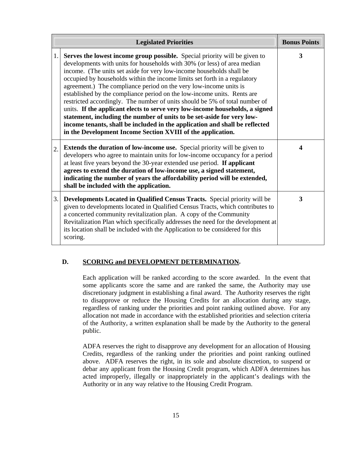| <b>Legislated Priorities</b> |                                                                                                                                                                                                                                                                                                                                                                                                                                                                                                                                                                                                                                                                                                                                                                                                                                                           | <b>Bonus Points</b>     |
|------------------------------|-----------------------------------------------------------------------------------------------------------------------------------------------------------------------------------------------------------------------------------------------------------------------------------------------------------------------------------------------------------------------------------------------------------------------------------------------------------------------------------------------------------------------------------------------------------------------------------------------------------------------------------------------------------------------------------------------------------------------------------------------------------------------------------------------------------------------------------------------------------|-------------------------|
| 1.                           | <b>Serves the lowest income group possible.</b> Special priority will be given to<br>developments with units for households with 30% (or less) of area median<br>income. (The units set aside for very low-income households shall be<br>occupied by households within the income limits set forth in a regulatory<br>agreement.) The compliance period on the very low-income units is<br>established by the compliance period on the low-income units. Rents are<br>restricted accordingly. The number of units should be 5% of total number of<br>units. If the applicant elects to serve very low-income households, a signed<br>statement, including the number of units to be set-aside for very low-<br>income tenants, shall be included in the application and shall be reflected<br>in the Development Income Section XVIII of the application. | 3                       |
| 2.                           | <b>Extends the duration of low-income use.</b> Special priority will be given to<br>developers who agree to maintain units for low-income occupancy for a period<br>at least five years beyond the 30-year extended use period. If applicant<br>agrees to extend the duration of low-income use, a signed statement,<br>indicating the number of years the affordability period will be extended,<br>shall be included with the application.                                                                                                                                                                                                                                                                                                                                                                                                              | $\overline{\mathbf{4}}$ |
| 3.                           | Developments Located in Qualified Census Tracts. Special priority will be<br>given to developments located in Qualified Census Tracts, which contributes to<br>a concerted community revitalization plan. A copy of the Community<br>Revitalization Plan which specifically addresses the need for the development at<br>its location shall be included with the Application to be considered for this<br>scoring.                                                                                                                                                                                                                                                                                                                                                                                                                                        | 3                       |

# **D. SCORING and DEVELOPMENT DETERMINATION.**

Each application will be ranked according to the score awarded. In the event that some applicants score the same and are ranked the same, the Authority may use discretionary judgment in establishing a final award. The Authority reserves the right to disapprove or reduce the Housing Credits for an allocation during any stage, regardless of ranking under the priorities and point ranking outlined above. For any allocation not made in accordance with the established priorities and selection criteria of the Authority, a written explanation shall be made by the Authority to the general public.

ADFA reserves the right to disapprove any development for an allocation of Housing Credits, regardless of the ranking under the priorities and point ranking outlined above. ADFA reserves the right, in its sole and absolute discretion, to suspend or debar any applicant from the Housing Credit program, which ADFA determines has acted improperly, illegally or inappropriately in the applicant's dealings with the Authority or in any way relative to the Housing Credit Program.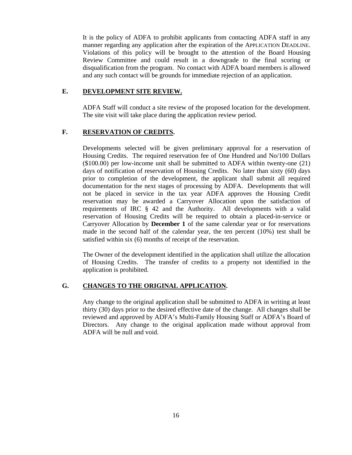It is the policy of ADFA to prohibit applicants from contacting ADFA staff in any manner regarding any application after the expiration of the APPLICATION DEADLINE. Violations of this policy will be brought to the attention of the Board Housing Review Committee and could result in a downgrade to the final scoring or disqualification from the program. No contact with ADFA board members is allowed and any such contact will be grounds for immediate rejection of an application.

#### **E. DEVELOPMENT SITE REVIEW.**

ADFA Staff will conduct a site review of the proposed location for the development. The site visit will take place during the application review period.

#### **F. RESERVATION OF CREDITS.**

Developments selected will be given preliminary approval for a reservation of Housing Credits. The required reservation fee of One Hundred and No/100 Dollars (\$100.00) per low-income unit shall be submitted to ADFA within twenty-one (21) days of notification of reservation of Housing Credits. No later than sixty (60) days prior to completion of the development, the applicant shall submit all required documentation for the next stages of processing by ADFA. Developments that will not be placed in service in the tax year ADFA approves the Housing Credit reservation may be awarded a Carryover Allocation upon the satisfaction of requirements of IRC § 42 and the Authority. All developments with a valid reservation of Housing Credits will be required to obtain a placed-in-service or Carryover Allocation by **December 1** of the same calendar year or for reservations made in the second half of the calendar year, the ten percent (10%) test shall be satisfied within six (6) months of receipt of the reservation.

The Owner of the development identified in the application shall utilize the allocation of Housing Credits. The transfer of credits to a property not identified in the application is prohibited.

#### **G. CHANGES TO THE ORIGINAL APPLICATION.**

Any change to the original application shall be submitted to ADFA in writing at least thirty (30) days prior to the desired effective date of the change. All changes shall be reviewed and approved by ADFA's Multi-Family Housing Staff or ADFA's Board of Directors. Any change to the original application made without approval from ADFA will be null and void.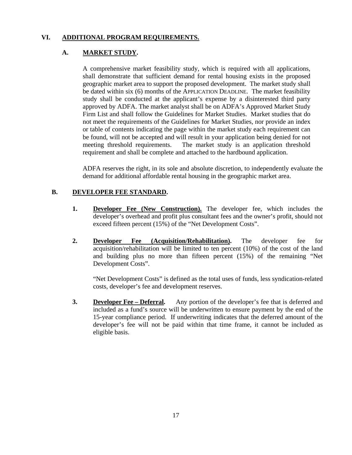#### **VI. ADDITIONAL PROGRAM REQUIREMENTS.**

#### **A. MARKET STUDY.**

A comprehensive market feasibility study, which is required with all applications, shall demonstrate that sufficient demand for rental housing exists in the proposed geographic market area to support the proposed development. The market study shall be dated within six (6) months of the APPLICATION DEADLINE. The market feasibility study shall be conducted at the applicant's expense by a disinterested third party approved by ADFA. The market analyst shall be on ADFA's Approved Market Study Firm List and shall follow the Guidelines for Market Studies. Market studies that do not meet the requirements of the Guidelines for Market Studies, nor provide an index or table of contents indicating the page within the market study each requirement can be found, will not be accepted and will result in your application being denied for not meeting threshold requirements. The market study is an application threshold requirement and shall be complete and attached to the hardbound application.

ADFA reserves the right, in its sole and absolute discretion, to independently evaluate the demand for additional affordable rental housing in the geographic market area.

#### **B. DEVELOPER FEE STANDARD.**

- **1.** Developer Fee (New Construction). The developer fee, which includes the developer's overhead and profit plus consultant fees and the owner's profit, should not exceed fifteen percent (15%) of the "Net Development Costs".
- **2. Developer Fee (Acquisition/Rehabilitation).** The developer fee for acquisition/rehabilitation will be limited to ten percent (10%) of the cost of the land and building plus no more than fifteen percent (15%) of the remaining "Net Development Costs".

 "Net Development Costs" is defined as the total uses of funds, less syndication-related costs, developer's fee and development reserves.

**3. Developer Fee – Deferral.** Any portion of the developer's fee that is deferred and included as a fund's source will be underwritten to ensure payment by the end of the 15-year compliance period. If underwriting indicates that the deferred amount of the developer's fee will not be paid within that time frame, it cannot be included as eligible basis.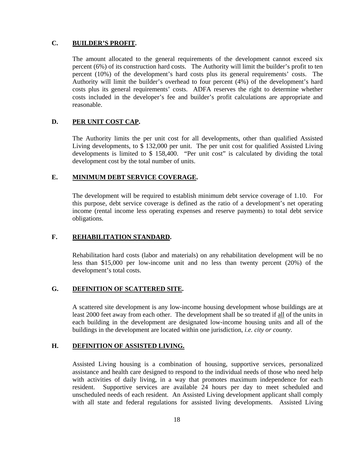#### **C. BUILDER'S PROFIT.**

The amount allocated to the general requirements of the development cannot exceed six percent (6%) of its construction hard costs. The Authority will limit the builder's profit to ten percent (10%) of the development's hard costs plus its general requirements' costs. The Authority will limit the builder's overhead to four percent (4%) of the development's hard costs plus its general requirements' costs. ADFA reserves the right to determine whether costs included in the developer's fee and builder's profit calculations are appropriate and reasonable.

#### **D. PER UNIT COST CAP.**

The Authority limits the per unit cost for all developments, other than qualified Assisted Living developments, to \$ 132,000 per unit. The per unit cost for qualified Assisted Living developments is limited to \$ 158,400. "Per unit cost" is calculated by dividing the total development cost by the total number of units.

#### **E. MINIMUM DEBT SERVICE COVERAGE.**

The development will be required to establish minimum debt service coverage of 1.10. For this purpose, debt service coverage is defined as the ratio of a development's net operating income (rental income less operating expenses and reserve payments) to total debt service obligations.

#### **F. REHABILITATION STANDARD.**

Rehabilitation hard costs (labor and materials) on any rehabilitation development will be no less than \$15,000 per low-income unit and no less than twenty percent (20%) of the development's total costs.

#### **G. DEFINITION OF SCATTERED SITE.**

A scattered site development is any low-income housing development whose buildings are at least 2000 feet away from each other. The development shall be so treated if all of the units in each building in the development are designated low-income housing units and all of the buildings in the development are located within one jurisdiction, *i.e. city or county.*

#### **H. DEFINITION OF ASSISTED LIVING.**

Assisted Living housing is a combination of housing, supportive services, personalized assistance and health care designed to respond to the individual needs of those who need help with activities of daily living, in a way that promotes maximum independence for each resident. Supportive services are available 24 hours per day to meet scheduled and unscheduled needs of each resident. An Assisted Living development applicant shall comply with all state and federal regulations for assisted living developments. Assisted Living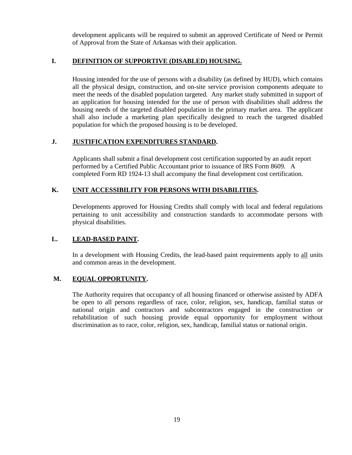development applicants will be required to submit an approved Certificate of Need or Permit of Approval from the State of Arkansas with their application.

# **I. DEFINITION OF SUPPORTIVE (DISABLED) HOUSING.**

Housing intended for the use of persons with a disability (as defined by HUD), which contains all the physical design, construction, and on-site service provision components adequate to meet the needs of the disabled population targeted. Any market study submitted in support of an application for housing intended for the use of person with disabilities shall address the housing needs of the targeted disabled population in the primary market area. The applicant shall also include a marketing plan specifically designed to reach the targeted disabled population for which the proposed housing is to be developed.

# **J. JUSTIFICATION EXPENDITURES STANDARD.**

Applicants shall submit a final development cost certification supported by an audit report performed by a Certified Public Accountant prior to issuance of IRS Form 8609. A completed Form RD 1924-13 shall accompany the final development cost certification.

#### **K. UNIT ACCESSIBILITY FOR PERSONS WITH DISABILITIES.**

Developments approved for Housing Credits shall comply with local and federal regulations pertaining to unit accessibility and construction standards to accommodate persons with physical disabilities.

#### **L. LEAD-BASED PAINT.**

In a development with Housing Credits, the lead-based paint requirements apply to all units and common areas in the development.

#### **M. EQUAL OPPORTUNITY.**

The Authority requires that occupancy of all housing financed or otherwise assisted by ADFA be open to all persons regardless of race, color, religion, sex, handicap, familial status or national origin and contractors and subcontractors engaged in the construction or rehabilitation of such housing provide equal opportunity for employment without discrimination as to race, color, religion, sex, handicap, familial status or national origin.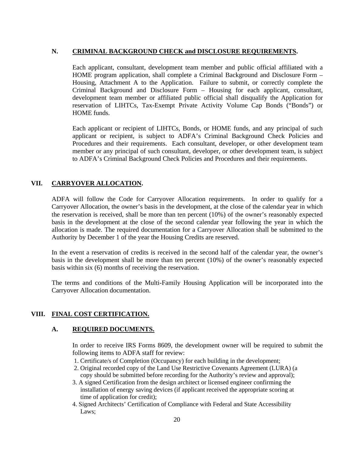#### **N. CRIMINAL BACKGROUND CHECK and DISCLOSURE REQUIREMENTS.**

Each applicant, consultant, development team member and public official affiliated with a HOME program application, shall complete a Criminal Background and Disclosure Form – Housing, Attachment A to the Application. Failure to submit, or correctly complete the Criminal Background and Disclosure Form – Housing for each applicant, consultant, development team member or affiliated public official shall disqualify the Application for reservation of LIHTCs, Tax-Exempt Private Activity Volume Cap Bonds ("Bonds") or HOME funds.

Each applicant or recipient of LIHTCs, Bonds, or HOME funds, and any principal of such applicant or recipient, is subject to ADFA's Criminal Background Check Policies and Procedures and their requirements. Each consultant, developer, or other development team member or any principal of such consultant, developer, or other development team, is subject to ADFA's Criminal Background Check Policies and Procedures and their requirements.

# **VII. CARRYOVER ALLOCATION.**

ADFA will follow the Code for Carryover Allocation requirements. In order to qualify for a Carryover Allocation, the owner's basis in the development, at the close of the calendar year in which the reservation is received, shall be more than ten percent (10%) of the owner's reasonably expected basis in the development at the close of the second calendar year following the year in which the allocation is made. The required documentation for a Carryover Allocation shall be submitted to the Authority by December 1 of the year the Housing Credits are reserved.

In the event a reservation of credits is received in the second half of the calendar year, the owner's basis in the development shall be more than ten percent (10%) of the owner's reasonably expected basis within six (6) months of receiving the reservation.

The terms and conditions of the Multi-Family Housing Application will be incorporated into the Carryover Allocation documentation.

#### **VIII. FINAL COST CERTIFICATION.**

#### **A. REQUIRED DOCUMENTS.**

In order to receive IRS Forms 8609, the development owner will be required to submit the following items to ADFA staff for review:

- 1. Certificate/s of Completion (Occupancy) for each building in the development;
- 2. Original recorded copy of the Land Use Restrictive Covenants Agreement (LURA) (a copy should be submitted before recording for the Authority's review and approval);
- 3. A signed Certification from the design architect or licensed engineer confirming the installation of energy saving devices (if applicant received the appropriate scoring at time of application for credit);
- 4. Signed Architects' Certification of Compliance with Federal and State Accessibility Laws;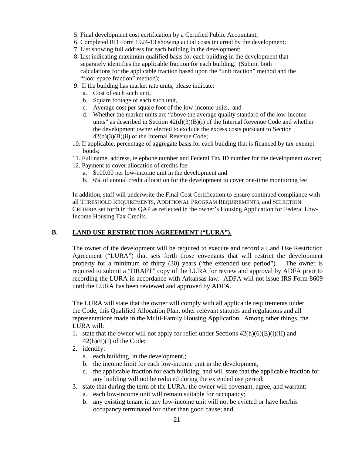- 5. Final development cost certification by a Certified Public Accountant;
- 6. Completed RD Form 1924-13 showing actual costs incurred by the development;
- 7. List showing full address for each building in the development;
- 8. List indicating maximum qualified basis for each building in the development that separately identifies the applicable fraction for each building. (Submit both calculations for the applicable fraction based upon the "unit fraction" method and the "floor space fraction" method);
- 9. If the building has market rate units, please indicate:
	- a. Cost of each such unit,
	- b. Square footage of each such unit,
	- c. Average cost per square foot of the low-income units, and
	- d. Whether the market units are "above the average quality standard of the low-income units" as described in Section  $42(d)(3)(B)(i)$  of the Internal Revenue Code and whether the development owner elected to exclude the excess costs pursuant to Section  $42(d)(3)(B)(ii)$  of the Internal Revenue Code;
- 10. If applicable, percentage of aggregate basis for each building that is financed by tax-exempt bonds;
- 11. Full name, address, telephone number and Federal Tax ID number for the development owner;
- 12. Payment to cover allocation of credits fee:
	- a. \$100.00 per low-income unit in the development and
	- b. 6% of annual credit allocation for the development to cover one-time monitoring fee

In addition, staff will underwrite the Final Cost Certification to ensure continued compliance with all THRESHOLD REQUIREMENTS, ADDITIONAL PROGRAM REQUIREMENTS, and SELECTION CRITERIA set forth in this QAP as reflected in the owner's Housing Application for Federal Low-Income Housing Tax Credits.

# **B. LAND USE RESTRICTION AGREEMENT ("LURA").**

The owner of the development will be required to execute and record a Land Use Restriction Agreement ("LURA") that sets forth those covenants that will restrict the development property for a minimum of thirty (30) years ("the extended use period"). The owner is required to submit a "DRAFT" copy of the LURA for review and approval by ADFA prior to recording the LURA in accordance with Arkansas law. ADFA will not issue IRS Form 8609 until the LURA has been reviewed and approved by ADFA.

The LURA will state that the owner will comply with all applicable requirements under the Code, this Qualified Allocation Plan, other relevant statutes and regulations and all representations made in the Multi-Family Housing Application. Among other things, the LURA will:

- 1. state that the owner will not apply for relief under Sections  $42(h)(6)(E)(i)(II)$  and  $42(h)(6)(I)$  of the Code;
- 2. identify:
	- a. each building in the development,;
	- b. the income limit for each low-income unit in the development;
	- c. the applicable fraction for each building; and will state that the applicable fraction for any building will not be reduced during the extended use period;
- 3. state that during the term of the LURA, the owner will covenant, agree, and warrant:
	- a. each low-income unit will remain suitable for occupancy;
	- b. any existing tenant in any low-income unit will not be evicted or have her/his occupancy terminated for other than good cause; and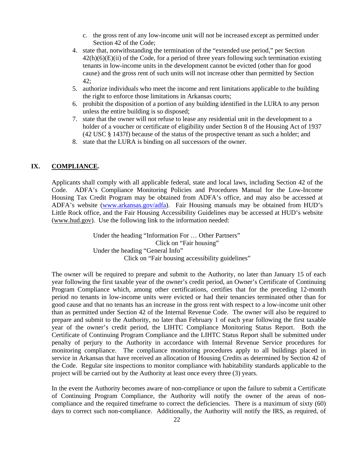- c. the gross rent of any low-income unit will not be increased except as permitted under Section 42 of the Code;
- 4. state that, notwithstanding the termination of the "extended use period," per Section  $42(h)(6)(E)(ii)$  of the Code, for a period of three years following such termination existing tenants in low-income units in the development cannot be evicted (other than for good cause) and the gross rent of such units will not increase other than permitted by Section 42;
- 5. authorize individuals who meet the income and rent limitations applicable to the building the right to enforce those limitations in Arkansas courts;
- 6. prohibit the disposition of a portion of any building identified in the LURA to any person unless the entire building is so disposed;
- 7. state that the owner will not refuse to lease any residential unit in the development to a holder of a voucher or certificate of eligibility under Section 8 of the Housing Act of 1937 (42 USC § 1437f) because of the status of the prospective tenant as such a holder; and
- 8. state that the LURA is binding on all successors of the owner.

#### **IX. COMPLIANCE.**

Applicants shall comply with all applicable federal, state and local laws, including Section 42 of the Code. ADFA's Compliance Monitoring Policies and Procedures Manual for the Low-Income Housing Tax Credit Program may be obtained from ADFA's office, and may also be accessed at ADFA's website (www.arkansas.gov/adfa). Fair Housing manuals may be obtained from HUD's Little Rock office, and the Fair Housing Accessibility Guidelines may be accessed at HUD's website (www.hud.gov). Use the following link to the information needed:

> Under the heading "Information For … Other Partners" Click on "Fair housing" Under the heading "General Info" Click on "Fair housing accessibility guidelines"

The owner will be required to prepare and submit to the Authority, no later than January 15 of each year following the first taxable year of the owner's credit period, an Owner's Certificate of Continuing Program Compliance which, among other certifications, certifies that for the preceding 12-month period no tenants in low-income units were evicted or had their tenancies terminated other than for good cause and that no tenants has an increase in the gross rent with respect to a low-income unit other than as permitted under Section 42 of the Internal Revenue Code. The owner will also be required to prepare and submit to the Authority, no later than February 1 of each year following the first taxable year of the owner's credit period, the LIHTC Compliance Monitoring Status Report. Both the Certificate of Continuing Program Compliance and the LIHTC Status Report shall be submitted under penalty of perjury to the Authority in accordance with Internal Revenue Service procedures for monitoring compliance. The compliance monitoring procedures apply to all buildings placed in service in Arkansas that have received an allocation of Housing Credits as determined by Section 42 of the Code. Regular site inspections to monitor compliance with habitability standards applicable to the project will be carried out by the Authority at least once every three (3) years.

In the event the Authority becomes aware of non-compliance or upon the failure to submit a Certificate of Continuing Program Compliance, the Authority will notify the owner of the areas of noncompliance and the required timeframe to correct the deficiencies. There is a maximum of sixty (60) days to correct such non-compliance. Additionally, the Authority will notify the IRS, as required, of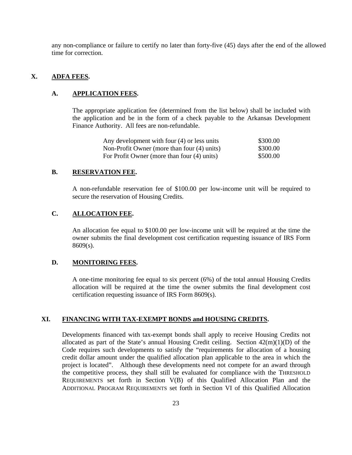any non-compliance or failure to certify no later than forty-five (45) days after the end of the allowed time for correction.

#### **X. ADFA FEES.**

#### **A. APPLICATION FEES.**

The appropriate application fee (determined from the list below) shall be included with the application and be in the form of a check payable to the Arkansas Development Finance Authority. All fees are non-refundable.

| Any development with four (4) or less units | \$300.00 |
|---------------------------------------------|----------|
| Non-Profit Owner (more than four (4) units) | \$300.00 |
| For Profit Owner (more than four (4) units) | \$500.00 |

#### **B. RESERVATION FEE.**

A non-refundable reservation fee of \$100.00 per low-income unit will be required to secure the reservation of Housing Credits.

#### **C. ALLOCATION FEE.**

An allocation fee equal to \$100.00 per low-income unit will be required at the time the owner submits the final development cost certification requesting issuance of IRS Form 8609(s).

#### **D. MONITORING FEES.**

A one-time monitoring fee equal to six percent (6%) of the total annual Housing Credits allocation will be required at the time the owner submits the final development cost certification requesting issuance of IRS Form 8609(s).

#### **XI. FINANCING WITH TAX-EXEMPT BONDS and HOUSING CREDITS.**

Developments financed with tax-exempt bonds shall apply to receive Housing Credits not allocated as part of the State's annual Housing Credit ceiling. Section  $42(m)(1)(D)$  of the Code requires such developments to satisfy the "requirements for allocation of a housing credit dollar amount under the qualified allocation plan applicable to the area in which the project is located". Although these developments need not compete for an award through the competitive process, they shall still be evaluated for compliance with the THRESHOLD REQUIREMENTS set forth in Section V(B) of this Qualified Allocation Plan and the ADDITIONAL PROGRAM REQUIREMENTS set forth in Section VI of this Qualified Allocation